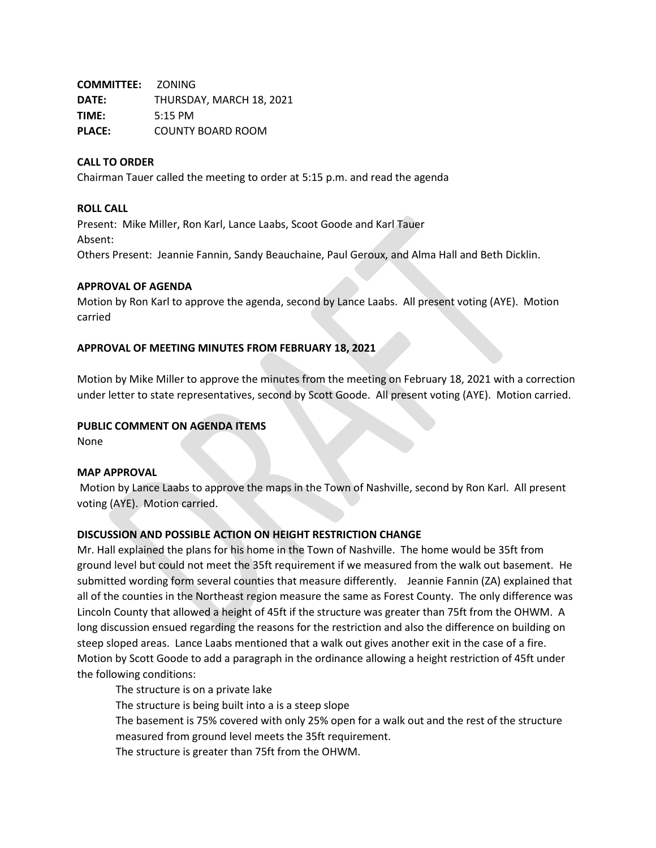**COMMITTEE:** ZONING **DATE:** THURSDAY, MARCH 18, 2021 **TIME:** 5:15 PM **PLACE:** COUNTY BOARD ROOM

### **CALL TO ORDER**

Chairman Tauer called the meeting to order at 5:15 p.m. and read the agenda

#### **ROLL CALL**

Present: Mike Miller, Ron Karl, Lance Laabs, Scoot Goode and Karl Tauer Absent: Others Present: Jeannie Fannin, Sandy Beauchaine, Paul Geroux, and Alma Hall and Beth Dicklin.

#### **APPROVAL OF AGENDA**

Motion by Ron Karl to approve the agenda, second by Lance Laabs. All present voting (AYE). Motion carried

#### **APPROVAL OF MEETING MINUTES FROM FEBRUARY 18, 2021**

Motion by Mike Miller to approve the minutes from the meeting on February 18, 2021 with a correction under letter to state representatives, second by Scott Goode. All present voting (AYE). Motion carried.

### **PUBLIC COMMENT ON AGENDA ITEMS**

None

#### **MAP APPROVAL**

Motion by Lance Laabs to approve the maps in the Town of Nashville, second by Ron Karl. All present voting (AYE). Motion carried.

## **DISCUSSION AND POSSIBLE ACTION ON HEIGHT RESTRICTION CHANGE**

Mr. Hall explained the plans for his home in the Town of Nashville. The home would be 35ft from ground level but could not meet the 35ft requirement if we measured from the walk out basement. He submitted wording form several counties that measure differently. Jeannie Fannin (ZA) explained that all of the counties in the Northeast region measure the same as Forest County. The only difference was Lincoln County that allowed a height of 45ft if the structure was greater than 75ft from the OHWM. A long discussion ensued regarding the reasons for the restriction and also the difference on building on steep sloped areas. Lance Laabs mentioned that a walk out gives another exit in the case of a fire. Motion by Scott Goode to add a paragraph in the ordinance allowing a height restriction of 45ft under the following conditions:

The structure is on a private lake

The structure is being built into a is a steep slope

The basement is 75% covered with only 25% open for a walk out and the rest of the structure measured from ground level meets the 35ft requirement.

The structure is greater than 75ft from the OHWM.